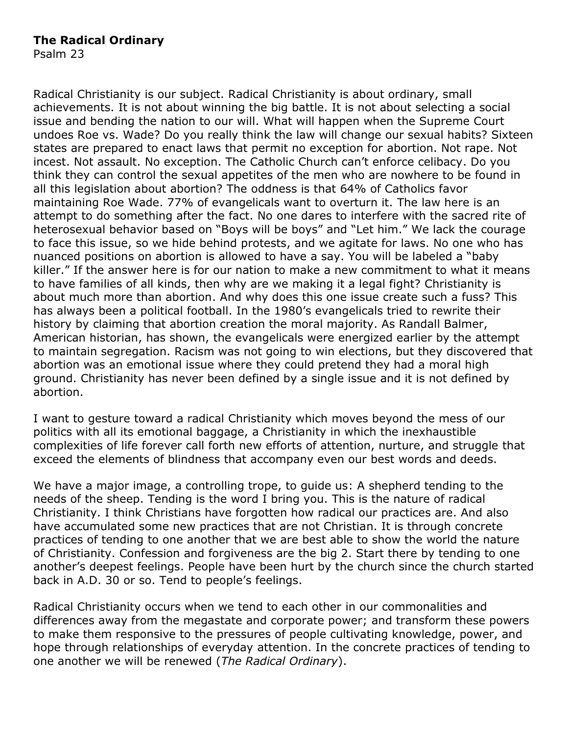## **The Radical Ordinary**

Psalm 23

Radical Christianity is our subject. Radical Christianity is about ordinary, small achievements. It is not about winning the big battle. It is not about selecting a social issue and bending the nation to our will. What will happen when the Supreme Court undoes Roe vs. Wade? Do you really think the law will change our sexual habits? Sixteen states are prepared to enact laws that permit no exception for abortion. Not rape. Not incest. Not assault. No exception. The Catholic Church can't enforce celibacy. Do you think they can control the sexual appetites of the men who are nowhere to be found in all this legislation about abortion? The oddness is that 64% of Catholics favor maintaining Roe Wade. 77% of evangelicals want to overturn it. The law here is an attempt to do something after the fact. No one dares to interfere with the sacred rite of heterosexual behavior based on "Boys will be boys" and "Let him." We lack the courage to face this issue, so we hide behind protests, and we agitate for laws. No one who has nuanced positions on abortion is allowed to have a say. You will be labeled a "baby killer." If the answer here is for our nation to make a new commitment to what it means to have families of all kinds, then why are we making it a legal fight? Christianity is about much more than abortion. And why does this one issue create such a fuss? This has always been a political football. In the 1980's evangelicals tried to rewrite their history by claiming that abortion creation the moral majority. As Randall Balmer, American historian, has shown, the evangelicals were energized earlier by the attempt to maintain segregation. Racism was not going to win elections, but they discovered that abortion was an emotional issue where they could pretend they had a moral high ground. Christianity has never been defined by a single issue and it is not defined by abortion.

I want to gesture toward a radical Christianity which moves beyond the mess of our politics with all its emotional baggage, a Christianity in which the inexhaustible complexities of life forever call forth new efforts of attention, nurture, and struggle that exceed the elements of blindness that accompany even our best words and deeds.

We have a major image, a controlling trope, to guide us: A shepherd tending to the needs of the sheep. Tending is the word I bring you. This is the nature of radical Christianity. I think Christians have forgotten how radical our practices are. And also have accumulated some new practices that are not Christian. It is through concrete practices of tending to one another that we are best able to show the world the nature of Christianity. Confession and forgiveness are the big 2. Start there by tending to one another's deepest feelings. People have been hurt by the church since the church started back in A.D. 30 or so. Tend to people's feelings.

Radical Christianity occurs when we tend to each other in our commonalities and differences away from the megastate and corporate power; and transform these powers to make them responsive to the pressures of people cultivating knowledge, power, and hope through relationships of everyday attention. In the concrete practices of tending to one another we will be renewed (*The Radical Ordinary*).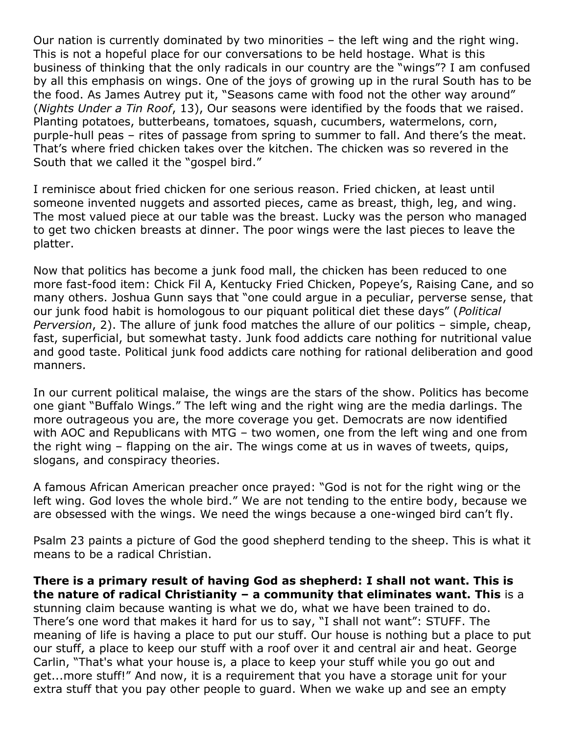Our nation is currently dominated by two minorities – the left wing and the right wing. This is not a hopeful place for our conversations to be held hostage. What is this business of thinking that the only radicals in our country are the "wings"? I am confused by all this emphasis on wings. One of the joys of growing up in the rural South has to be the food. As James Autrey put it, "Seasons came with food not the other way around" (*Nights Under a Tin Roof*, 13), Our seasons were identified by the foods that we raised. Planting potatoes, butterbeans, tomatoes, squash, cucumbers, watermelons, corn, purple-hull peas – rites of passage from spring to summer to fall. And there's the meat. That's where fried chicken takes over the kitchen. The chicken was so revered in the South that we called it the "gospel bird."

I reminisce about fried chicken for one serious reason. Fried chicken, at least until someone invented nuggets and assorted pieces, came as breast, thigh, leg, and wing. The most valued piece at our table was the breast. Lucky was the person who managed to get two chicken breasts at dinner. The poor wings were the last pieces to leave the platter.

Now that politics has become a junk food mall, the chicken has been reduced to one more fast-food item: Chick Fil A, Kentucky Fried Chicken, Popeye's, Raising Cane, and so many others. Joshua Gunn says that "one could argue in a peculiar, perverse sense, that our junk food habit is homologous to our piquant political diet these days" (*Political Perversion*, 2). The allure of junk food matches the allure of our politics – simple, cheap, fast, superficial, but somewhat tasty. Junk food addicts care nothing for nutritional value and good taste. Political junk food addicts care nothing for rational deliberation and good manners.

In our current political malaise, the wings are the stars of the show. Politics has become one giant "Buffalo Wings." The left wing and the right wing are the media darlings. The more outrageous you are, the more coverage you get. Democrats are now identified with AOC and Republicans with MTG – two women, one from the left wing and one from the right wing – flapping on the air. The wings come at us in waves of tweets, quips, slogans, and conspiracy theories.

A famous African American preacher once prayed: "God is not for the right wing or the left wing. God loves the whole bird." We are not tending to the entire body, because we are obsessed with the wings. We need the wings because a one-winged bird can't fly.

Psalm 23 paints a picture of God the good shepherd tending to the sheep. This is what it means to be a radical Christian.

**There is a primary result of having God as shepherd: I shall not want. This is the nature of radical Christianity – a community that eliminates want. This** is a stunning claim because wanting is what we do, what we have been trained to do. There's one word that makes it hard for us to say, "I shall not want": STUFF. The meaning of life is having a place to put our stuff. Our house is nothing but a place to put our stuff, a place to keep our stuff with a roof over it and central air and heat. George Carlin, "That's what your house is, a place to keep your stuff while you go out and get...more stuff!" And now, it is a requirement that you have a storage unit for your extra stuff that you pay other people to guard. When we wake up and see an empty